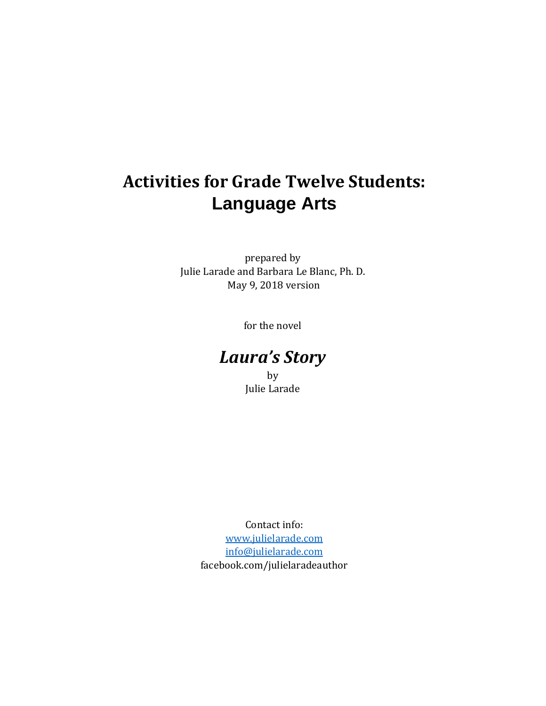# **Activities for Grade Twelve Students: Language Arts**

prepared by Julie Larade and Barbara Le Blanc, Ph. D. May 9, 2018 version

for the novel

# *Laura's Story*

by Julie Larade

Contact info: [www.julielarade.com](http://www.julielarade.com/) [info@julielarade.com](mailto:info@julielarade.com) facebook.com/julielaradeauthor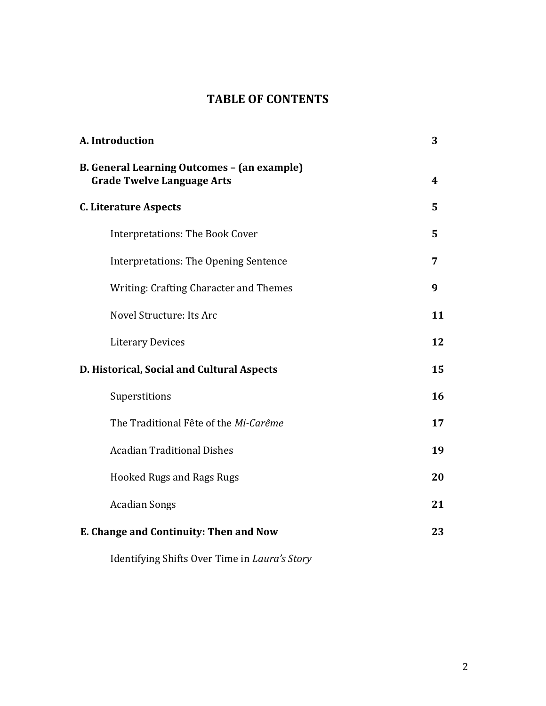## **TABLE OF CONTENTS**

| A. Introduction                                                                  | 3  |
|----------------------------------------------------------------------------------|----|
| B. General Learning Outcomes - (an example)<br><b>Grade Twelve Language Arts</b> | 4  |
| <b>C. Literature Aspects</b>                                                     | 5  |
| <b>Interpretations: The Book Cover</b>                                           | 5  |
| <b>Interpretations: The Opening Sentence</b>                                     | 7  |
| <b>Writing: Crafting Character and Themes</b>                                    | 9  |
| Novel Structure: Its Arc                                                         | 11 |
| <b>Literary Devices</b>                                                          | 12 |
| D. Historical, Social and Cultural Aspects                                       | 15 |
| Superstitions                                                                    | 16 |
| The Traditional Fête of the Mi-Carême                                            | 17 |
| <b>Acadian Traditional Dishes</b>                                                | 19 |
| <b>Hooked Rugs and Rags Rugs</b>                                                 | 20 |
| <b>Acadian Songs</b>                                                             | 21 |
| E. Change and Continuity: Then and Now                                           | 23 |
|                                                                                  |    |

Identifying Shifts Over Time in *Laura's Story*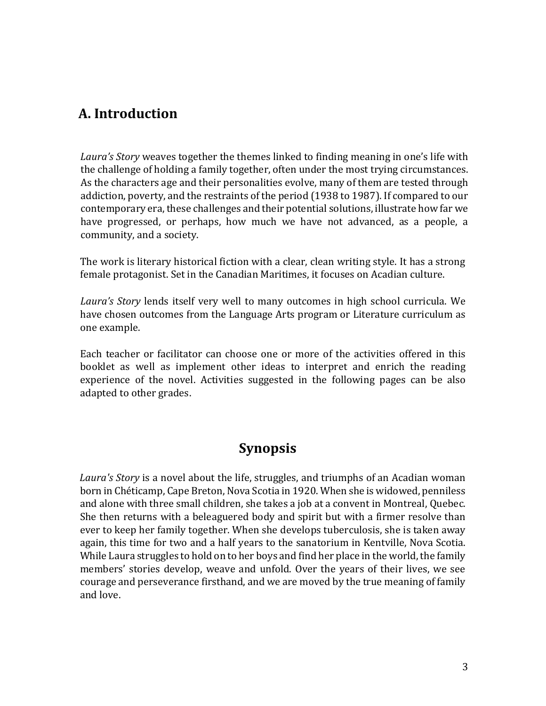### **A. Introduction**

*Laura's Story* weaves together the themes linked to finding meaning in one's life with the challenge of holding a family together, often under the most trying circumstances. As the characters age and their personalities evolve, many of them are tested through addiction, poverty, and the restraints of the period (1938 to 1987). If compared to our contemporary era, these challenges and their potential solutions, illustrate how far we have progressed, or perhaps, how much we have not advanced, as a people, a community, and a society.

The work is literary historical fiction with a clear, clean writing style. It has a strong female protagonist. Set in the Canadian Maritimes, it focuses on Acadian culture.

*Laura's Story* lends itself very well to many outcomes in high school curricula. We have chosen outcomes from the Language Arts program or Literature curriculum as one example.

Each teacher or facilitator can choose one or more of the activities offered in this booklet as well as implement other ideas to interpret and enrich the reading experience of the novel. Activities suggested in the following pages can be also adapted to other grades.

### **Synopsis**

*Laura's Story* is a novel about the life, struggles, and triumphs of an Acadian woman born in Chéticamp, Cape Breton, Nova Scotia in 1920. When she is widowed, penniless and alone with three small children, she takes a job at a convent in Montreal, Quebec. She then returns with a beleaguered body and spirit but with a firmer resolve than ever to keep her family together. When she develops tuberculosis, she is taken away again, this time for two and a half years to the sanatorium in Kentville, Nova Scotia. While Laura struggles to hold on to her boys and find her place in the world, the family members' stories develop, weave and unfold. Over the years of their lives, we see courage and perseverance firsthand, and we are moved by the true meaning of family and love.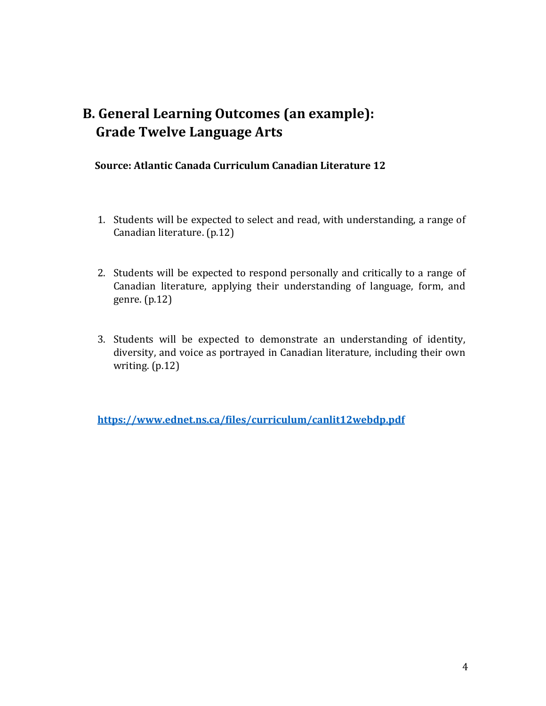## **B. General Learning Outcomes (an example): Grade Twelve Language Arts**

#### **Source: Atlantic Canada Curriculum Canadian Literature 12**

- 1. Students will be expected to select and read, with understanding, a range of Canadian literature. (p.12)
- 2. Students will be expected to respond personally and critically to a range of Canadian literature, applying their understanding of language, form, and genre. (p.12)
- 3. Students will be expected to demonstrate an understanding of identity, diversity, and voice as portrayed in Canadian literature, including their own writing. (p.12)

**<https://www.ednet.ns.ca/files/curriculum/canlit12webdp.pdf>**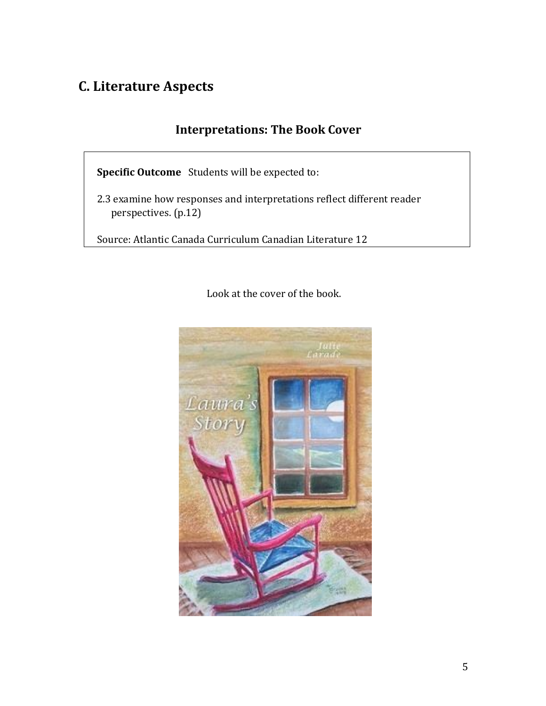## **C. Literature Aspects**

### **Interpretations: The Book Cover**

**Specific Outcome** Students will be expected to:

 2.3 examine how responses and interpretations reflect different reader perspectives. (p.12)

Source: Atlantic Canada Curriculum Canadian Literature 12

Look at the cover of the book.

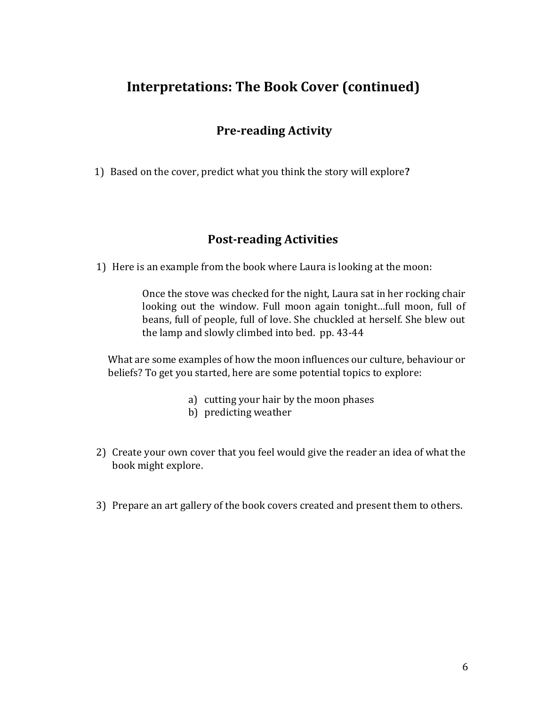### **Interpretations: The Book Cover (continued)**

### **Pre-reading Activity**

1) Based on the cover, predict what you think the story will explore**?** 

#### **Post-reading Activities**

1) Here is an example from the book where Laura is looking at the moon:

Once the stove was checked for the night, Laura sat in her rocking chair looking out the window. Full moon again tonight…full moon, full of beans, full of people, full of love. She chuckled at herself. She blew out the lamp and slowly climbed into bed. pp. 43-44

What are some examples of how the moon influences our culture, behaviour or beliefs? To get you started, here are some potential topics to explore:

- a) cutting your hair by the moon phases
- b) predicting weather
- 2) Create your own cover that you feel would give the reader an idea of what the book might explore.
- 3) Prepare an art gallery of the book covers created and present them to others.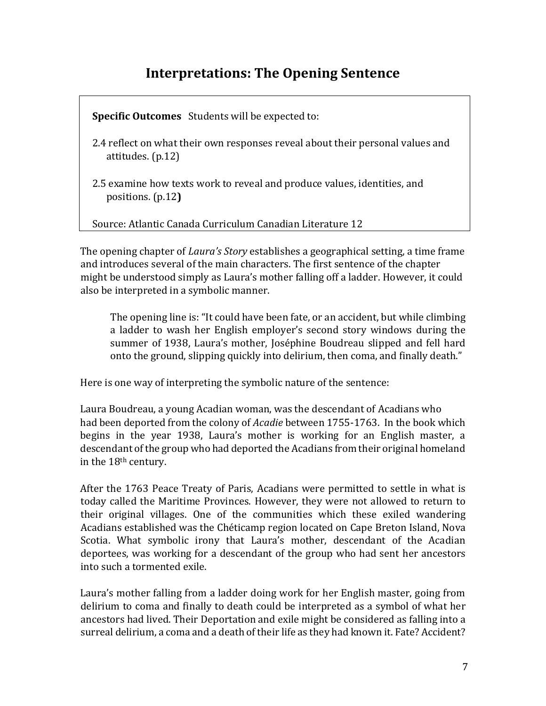### **Interpretations: The Opening Sentence**

 **Specific Outcomes** Students will be expected to:

- 2.4 reflect on what their own responses reveal about their personal values and attitudes. (p.12)
- 2.5 examine how texts work to reveal and produce values, identities, and positions. (p.12**)**

Source: Atlantic Canada Curriculum Canadian Literature 12

The opening chapter of *Laura's Story* establishes a geographical setting, a time frame and introduces several of the main characters. The first sentence of the chapter might be understood simply as Laura's mother falling off a ladder. However, it could also be interpreted in a symbolic manner.

The opening line is: "It could have been fate, or an accident, but while climbing a ladder to wash her English employer's second story windows during the summer of 1938, Laura's mother, Joséphine Boudreau slipped and fell hard onto the ground, slipping quickly into delirium, then coma, and finally death."

Here is one way of interpreting the symbolic nature of the sentence:

Laura Boudreau, a young Acadian woman, was the descendant of Acadians who had been deported from the colony of *Acadie* between 1755-1763. In the book which begins in the year 1938, Laura's mother is working for an English master, a descendant of the group who had deported the Acadians from their original homeland in the 18th century.

After the 1763 Peace Treaty of Paris, Acadians were permitted to settle in what is today called the Maritime Provinces. However, they were not allowed to return to their original villages. One of the communities which these exiled wandering Acadians established was the Chéticamp region located on Cape Breton Island, Nova Scotia. What symbolic irony that Laura's mother, descendant of the Acadian deportees, was working for a descendant of the group who had sent her ancestors into such a tormented exile.

Laura's mother falling from a ladder doing work for her English master, going from delirium to coma and finally to death could be interpreted as a symbol of what her ancestors had lived. Their Deportation and exile might be considered as falling into a surreal delirium, a coma and a death of their life as they had known it. Fate? Accident?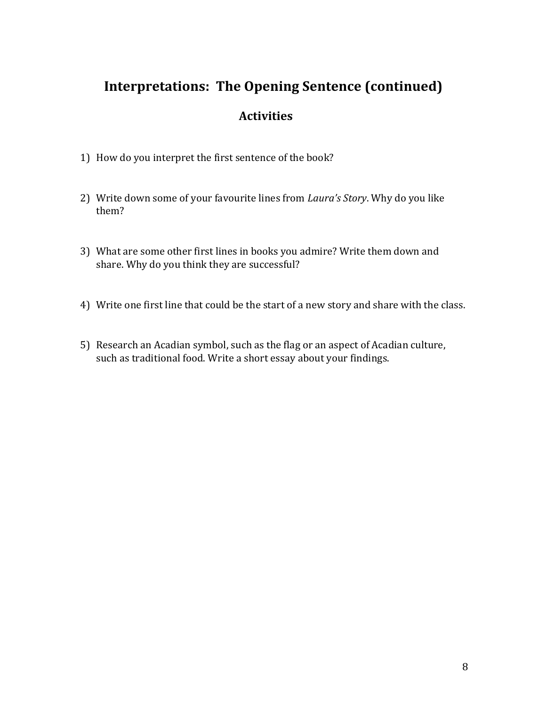## **Interpretations: The Opening Sentence (continued)**

- 1) How do you interpret the first sentence of the book?
- 2) Write down some of your favourite lines from *Laura's Story*. Why do you like them?
- 3) What are some other first lines in books you admire? Write them down and share. Why do you think they are successful?
- 4) Write one first line that could be the start of a new story and share with the class.
- 5) Research an Acadian symbol, such as the flag or an aspect of Acadian culture, such as traditional food. Write a short essay about your findings.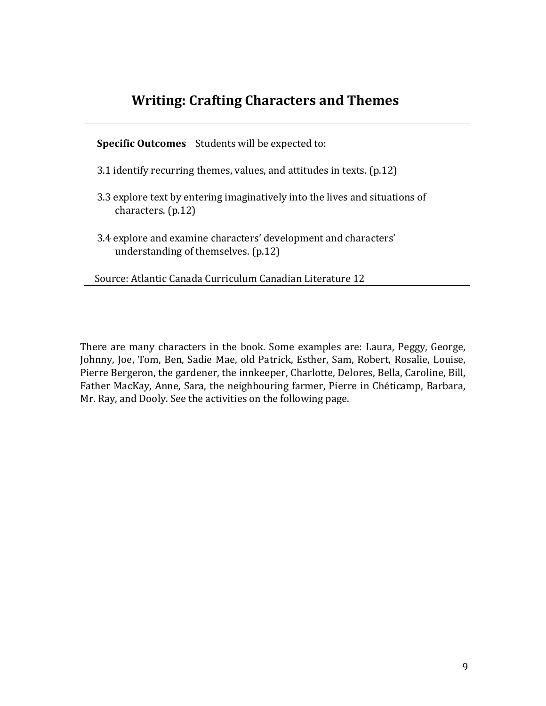## **Writing: Crafting Characters and Themes**

 **Specific Outcomes** Students will be expected to:

- 3.1 identify recurring themes, values, and attitudes in texts. (p.12)
- 3.3 explore text by entering imaginatively into the lives and situations of characters. (p.12)
- 3.4 explore and examine characters' development and characters' understanding of themselves. (p.12)

Source: Atlantic Canada Curriculum Canadian Literature 12

There are many characters in the book. Some examples are: Laura, Peggy, George, Johnny, Joe, Tom, Ben, Sadie Mae, old Patrick, Esther, Sam, Robert, Rosalie, Louise, Pierre Bergeron, the gardener, the innkeeper, Charlotte, Delores, Bella, Caroline, Bill, Father MacKay, Anne, Sara, the neighbouring farmer, Pierre in Chéticamp, Barbara, Mr. Ray, and Dooly. See the activities on the following page.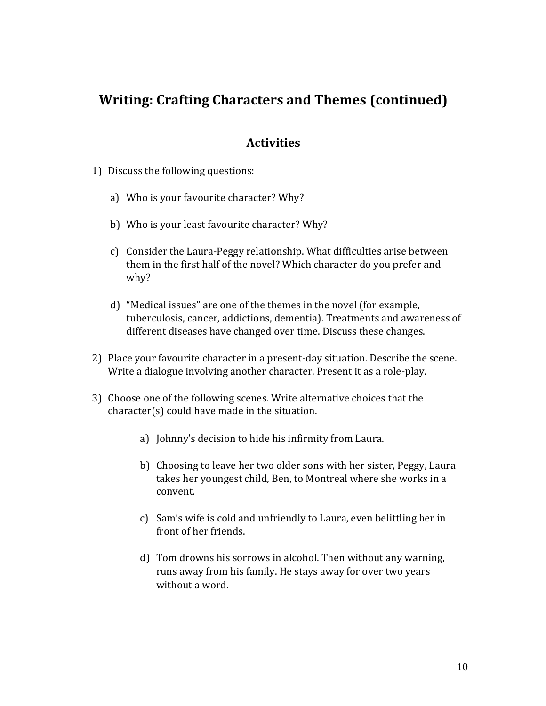### **Writing: Crafting Characters and Themes (continued)**

- 1) Discuss the following questions:
	- a) Who is your favourite character? Why?
	- b) Who is your least favourite character? Why?
	- c) Consider the Laura-Peggy relationship. What difficulties arise between them in the first half of the novel? Which character do you prefer and why?
	- d) "Medical issues" are one of the themes in the novel (for example, tuberculosis, cancer, addictions, dementia). Treatments and awareness of different diseases have changed over time. Discuss these changes.
- 2) Place your favourite character in a present-day situation. Describe the scene. Write a dialogue involving another character. Present it as a role-play.
- 3) Choose one of the following scenes. Write alternative choices that the character(s) could have made in the situation.
	- a) Johnny's decision to hide his infirmity from Laura.
	- b) Choosing to leave her two older sons with her sister, Peggy, Laura takes her youngest child, Ben, to Montreal where she works in a convent.
	- c) Sam's wife is cold and unfriendly to Laura, even belittling her in front of her friends.
	- d) Tom drowns his sorrows in alcohol. Then without any warning, runs away from his family. He stays away for over two years without a word.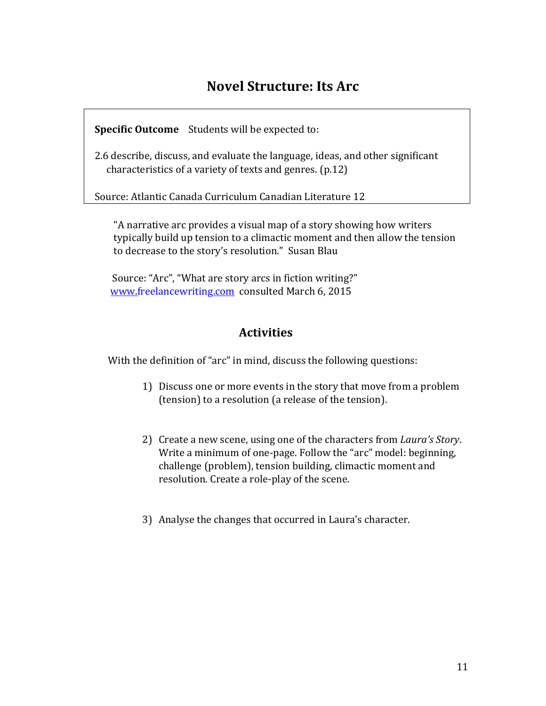### **Novel Structure: Its Arc**

 **Specific Outcome** Students will be expected to:

 2.6 describe, discuss, and evaluate the language, ideas, and other significant characteristics of a variety of texts and genres. (p.12)

Source: Atlantic Canada Curriculum Canadian Literature 12

"A narrative arc provides a visual map of a story showing how writers typically build up tension to a climactic moment and then allow the tension to decrease to the story's resolution." Susan Blau

Source: "Arc", "What are story arcs in fiction writing?" [www.freelancewriting.com](http://www.freelancewriting.com/) consulted March 6, 2015

#### **Activities**

With the definition of "arc" in mind, discuss the following questions:

- 1) Discuss one or more events in the story that move from a problem (tension) to a resolution (a release of the tension).
- 2) Create a new scene, using one of the characters from *Laura's Story*. Write a minimum of one-page. Follow the "arc" model: beginning, challenge (problem), tension building, climactic moment and resolution. Create a role-play of the scene.
- 3) Analyse the changes that occurred in Laura's character.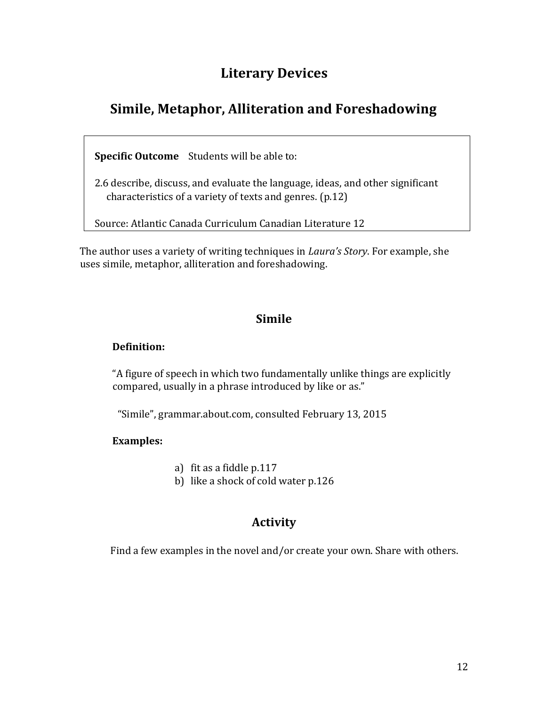### **Literary Devices**

## **Simile, Metaphor, Alliteration and Foreshadowing**

 **Specific Outcome** Students will be able to:

 2.6 describe, discuss, and evaluate the language, ideas, and other significant characteristics of a variety of texts and genres. (p.12)

Source: Atlantic Canada Curriculum Canadian Literature 12

The author uses a variety of writing techniques in *Laura's Story*. For example, she uses simile, metaphor, alliteration and foreshadowing.

#### **Simile**

#### **Definition:**

"A figure of speech in which two fundamentally unlike things are explicitly compared, usually in a phrase introduced by like or as."

"Simile", grammar.about.com, consulted February 13, 2015

#### **Examples:**

a) fit as a fiddle p.117

b) like a shock of cold water p.126

### **Activity**

Find a few examples in the novel and/or create your own. Share with others.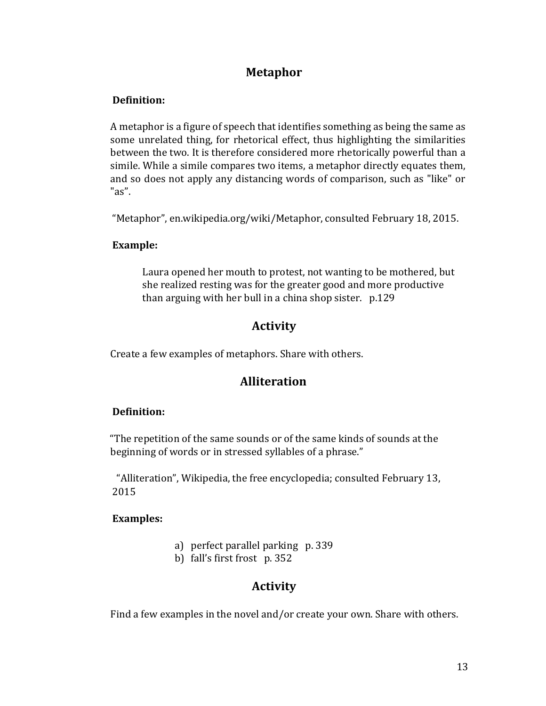### **Metaphor**

#### **Definition:**

A metaphor is a [figure of speech](http://en.wikipedia.org/wiki/Figure_of_speech) that identifies something as being the same as some unrelated thing, for [rhetorical](http://en.wikipedia.org/wiki/Rhetoric) [e](http://en.wikipedia.org/wiki/Rhetoric)ffect, thus highlighting the similarities between the two. It is therefore considered more rhetorically powerful than a [simile.](http://en.wikipedia.org/wiki/Simile) While a simile compares two items, a metaphor directly equates them, and so does not apply any distancing words of comparison, such as "like" or "as".

"Metaphor", en.wikipedia.org/wiki/Metaphor, consulted February 18, 2015.

#### **Example:**

Laura opened her mouth to protest, not wanting to be mothered, but she realized resting was for the greater good and more productive than arguing with her bull in a china shop sister. p.129

#### **Activity**

Create a few examples of metaphors. Share with others.

### **Alliteration**

#### **Definition:**

"The repetition of the same sounds or of the same kinds of sounds at the beginning of words or in stressed syllables of a phrase."

"Alliteration", Wikipedia, the free encyclopedia; consulted February 13, 2015

#### **Examples:**

- a) perfect parallel parking p. 339
- b) fall's first frost p. 352

#### **Activity**

Find a few examples in the novel and/or create your own. Share with others.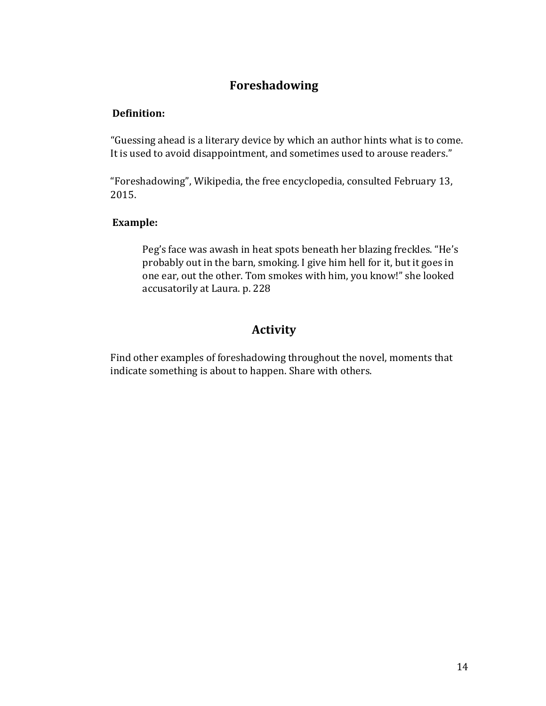### **Foreshadowing**

#### **Definition:**

"Guessing ahead is a literary device by which an author hints what is to come. It is used to avoid disappointment, and sometimes used to arouse readers."

"Foreshadowing", Wikipedia, the free encyclopedia, consulted February 13, 2015.

#### **Example:**

Peg's face was awash in heat spots beneath her blazing freckles. "He's probably out in the barn, smoking. I give him hell for it, but it goes in one ear, out the other. Tom smokes with him, you know!" she looked accusatorily at Laura. p. 228

### **Activity**

Find other examples of foreshadowing throughout the novel, moments that indicate something is about to happen. Share with others.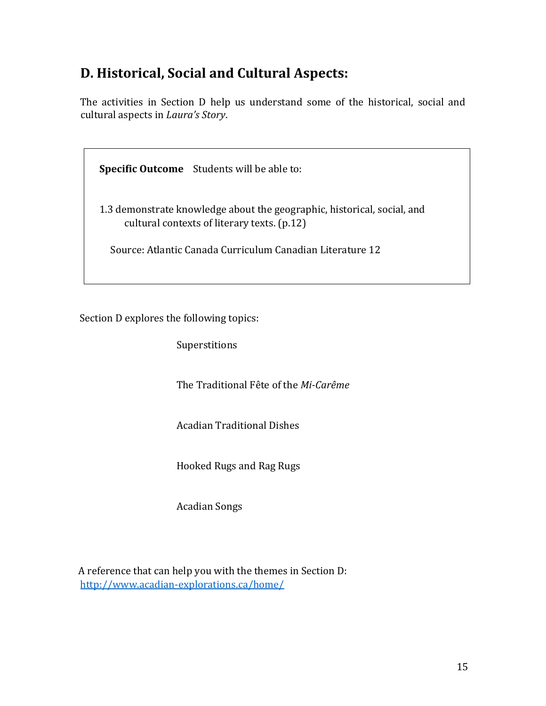## **D. Historical, Social and Cultural Aspects:**

The activities in Section D help us understand some of the historical, social and cultural aspects in *Laura's Story*.

 **Specific Outcome** Students will be able to:

 1.3 demonstrate knowledge about the geographic, historical, social, and cultural contexts of literary texts. (p.12)

Source: Atlantic Canada Curriculum Canadian Literature 12

Section D explores the following topics:

Superstitions

The Traditional Fête of the *Mi-Carême*

Acadian Traditional Dishes

Hooked Rugs and Rag Rugs

Acadian Songs

A reference that can help you with the themes in Section D: <http://www.acadian-explorations.ca/home/>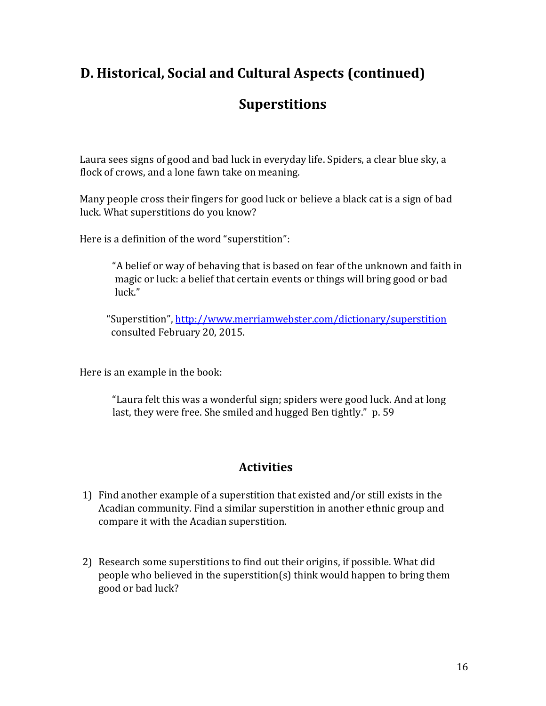## **D. Historical, Social and Cultural Aspects (continued)**

### **Superstitions**

Laura sees signs of good and bad luck in everyday life. Spiders, a clear blue sky, a flock of crows, and a lone fawn take on meaning.

Many people cross their fingers for good luck or believe a black cat is a sign of bad luck. What superstitions do you know?

Here is a definition of the word "superstition":

"A belief or way of behaving that is based on fear of the unknown and faith in magic or luck: a belief that certain events or things will bring good or bad luck."

"Superstition", <http://www.merriamwebster.com/dictionary/superstition> consulted February 20, 2015.

Here is an example in the book:

"Laura felt this was a wonderful sign; spiders were good luck. And at long last, they were free. She smiled and hugged Ben tightly." p. 59

- 1) Find another example of a superstition that existed and/or still exists in the Acadian community. Find a similar superstition in another ethnic group and compare it with the Acadian superstition.
- 2) Research some superstitions to find out their origins, if possible. What did people who believed in the superstition(s) think would happen to bring them good or bad luck?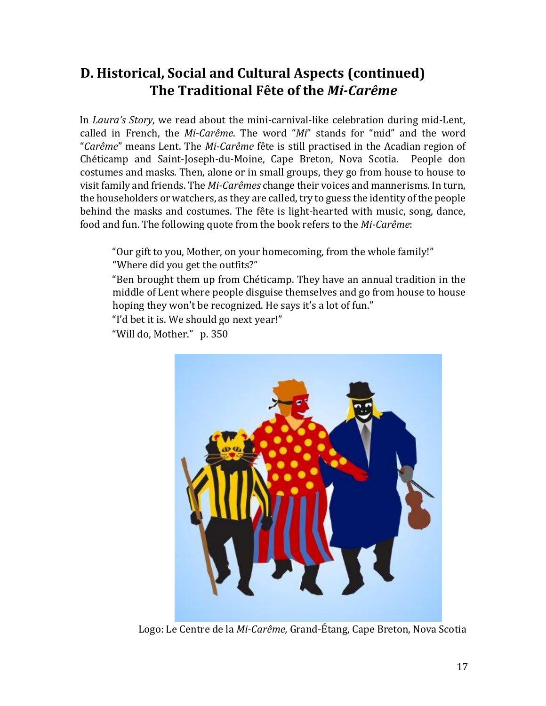## **D. Historical, Social and Cultural Aspects (continued) The Traditional Fête of the** *Mi-Carême*

In *Laura's Story*, we read about the mini-carnival-like celebration during mid-Lent, called in French, the *Mi-Carême*. The word "*Mi*" stands for "mid" and the word "*Carême*" means Lent. The *Mi-Carême* fête is still practised in the Acadian region of Chéticamp and Saint-Joseph-du-Moine, Cape Breton, Nova Scotia. People don costumes and masks. Then, alone or in small groups, they go from house to house to visit family and friends. The *Mi-Carêmes* change their voices and mannerisms. In turn, the householders or watchers, as they are called, try to guess the identity of the people behind the masks and costumes. The fête is light-hearted with music, song, dance, food and fun. The following quote from the book refers to the *Mi-Carême*:

"Our gift to you, Mother, on your homecoming, from the whole family!" "Where did you get the outfits?"

"Ben brought them up from Chéticamp. They have an annual tradition in the middle of Lent where people disguise themselves and go from house to house hoping they won't be recognized. He says it's a lot of fun."

"I'd bet it is. We should go next year!"

"Will do, Mother." p. 350



Logo: Le Centre de la *Mi-Carême,* Grand-Étang, Cape Breton, Nova Scotia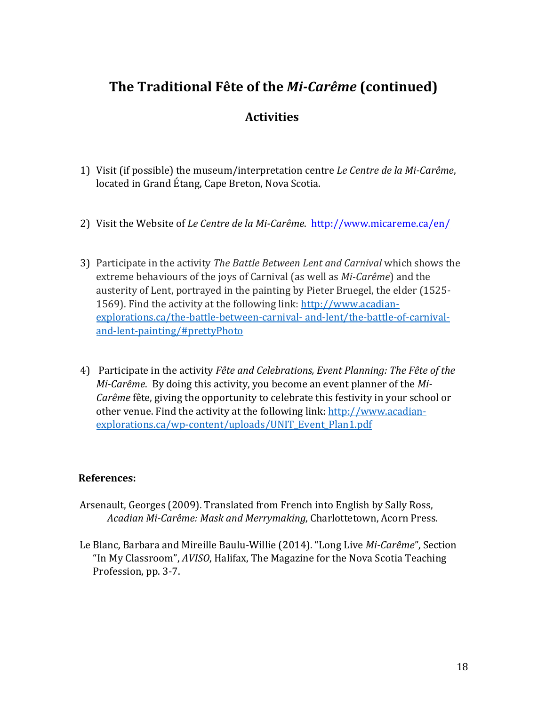## **The Traditional Fête of the** *Mi-Carême* **(continued)**

### **Activities**

- 1) Visit (if possible) the museum/interpretation centre *Le Centre de la Mi-Carême*, located in Grand Étang, Cape Breton, Nova Scotia.
- 2) Visit the Website of *Le Centre de la Mi-Carême*. <http://www.micareme.ca/en/>
- 3) Participate in the activity *The Battle Between Lent and Carnival* which shows the extreme behaviours of the joys of Carnival (as well as *Mi-Carême*) and the austerity of Lent, portrayed in the painting by Pieter Bruegel, the elder (1525 1569). Find the activity at the following link: [http://www.acadian](http://www.acadian-explorations.ca/the-battle-between-carnival-%20and-lent/the-battle-of-carnival-and-lent-painting/#prettyPhoto)[explorations.ca/the-battle-between-carnival-](http://www.acadian-explorations.ca/the-battle-between-carnival-%20and-lent/the-battle-of-carnival-and-lent-painting/#prettyPhoto) and-lent/the-battle-of-carnival[and-lent-painting/#prettyPhoto](http://www.acadian-explorations.ca/the-battle-between-carnival-%20and-lent/the-battle-of-carnival-and-lent-painting/#prettyPhoto)
- 4) Participate in the activity *Fête and Celebrations, Event Planning: The Fête of the Mi-Carême*. By doing this activity, you become an event planner of the *Mi-Carême* fête, giving the opportunity to celebrate this festivity in your school or other venue. Find the activity at the following link: [http://www.acadian](http://www.acadian-explorations.ca/wp-content/uploads/UNIT_Event_Plan1.pdf)[explorations.ca/wp-content/uploads/UNIT\\_Event\\_Plan1.pdf](http://www.acadian-explorations.ca/wp-content/uploads/UNIT_Event_Plan1.pdf)

#### **References:**

- Arsenault, Georges (2009). Translated from French into English by Sally Ross, *Acadian Mi-Carême: Mask and Merrymaking*, Charlottetown, Acorn Press.
- Le Blanc, Barbara and Mireille Baulu-Willie (2014). "Long Live *Mi-Carême*", Section "In My Classroom", *AVISO*, Halifax, The Magazine for the Nova Scotia Teaching Profession, pp. 3-7.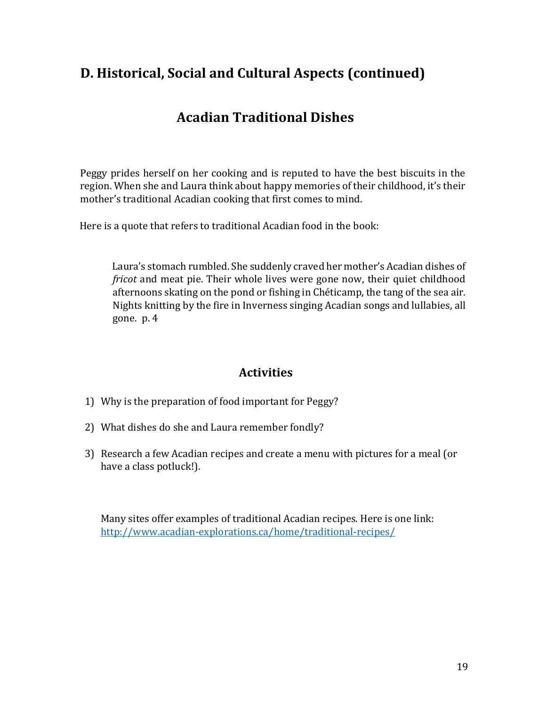## **D. Historical, Social and Cultural Aspects (continued)**

## **Acadian Traditional Dishes**

Peggy prides herself on her cooking and is reputed to have the best biscuits in the region. When she and Laura think about happy memories of their childhood, it's their mother's traditional Acadian cooking that first comes to mind.

Here is a quote that refers to traditional Acadian food in the book:

Laura's stomach rumbled. She suddenly craved her mother's Acadian dishes of *fricot* and meat pie. Their whole lives were gone now, their quiet childhood afternoons skating on the pond or fishing in Chéticamp, the tang of the sea air. Nights knitting by the fire in Inverness singing Acadian songs and lullabies, all gone. p. 4

### **Activities**

- 1) Why is the preparation of food important for Peggy?
- 2) What dishes do she and Laura remember fondly?
- 3) Research a few Acadian recipes and create a menu with pictures for a meal (or have a class potluck!).

Many sites offer examples of traditional Acadian recipes. Here is one link: <http://www.acadian-explorations.ca/home/traditional-recipes/>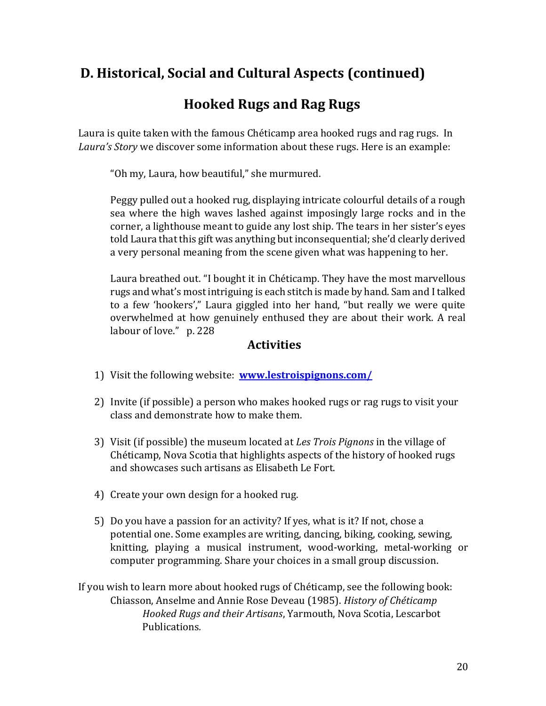## **D. Historical, Social and Cultural Aspects (continued)**

## **Hooked Rugs and Rag Rugs**

Laura is quite taken with the famous Chéticamp area hooked rugs and rag rugs. In *Laura's Story* we discover some information about these rugs. Here is an example:

"Oh my, Laura, how beautiful," she murmured.

Peggy pulled out a hooked rug, displaying intricate colourful details of a rough sea where the high waves lashed against imposingly large rocks and in the corner, a lighthouse meant to guide any lost ship. The tears in her sister's eyes told Laura that this gift was anything but inconsequential; she'd clearly derived a very personal meaning from the scene given what was happening to her.

Laura breathed out. "I bought it in Chéticamp. They have the most marvellous rugs and what's most intriguing is each stitch is made by hand. Sam and I talked to a few 'hookers'," Laura giggled into her hand, "but really we were quite overwhelmed at how genuinely enthused they are about their work. A real labour of love." p. 228

- 1) Visit the following website: **[www.lestroispignons.com/](http://www.lestroispignns.com/)**
- 2) Invite (if possible) a person who makes hooked rugs or rag rugs to visit your class and demonstrate how to make them.
- 3) Visit (if possible) the museum located at *Les Trois Pignons* in the village of Chéticamp, Nova Scotia that highlights aspects of the history of hooked rugs and showcases such artisans as Elisabeth Le Fort.
- 4) Create your own design for a hooked rug.
- 5) Do you have a passion for an activity? If yes, what is it? If not, chose a potential one. Some examples are writing, dancing, biking, cooking, sewing, knitting, playing a musical instrument, wood-working, metal-working or computer programming. Share your choices in a small group discussion.
- If you wish to learn more about hooked rugs of Chéticamp, see the following book: Chiasson, Anselme and Annie Rose Deveau (1985). *History of Chéticamp Hooked Rugs and their Artisans*, Yarmouth, Nova Scotia, Lescarbot Publications*.*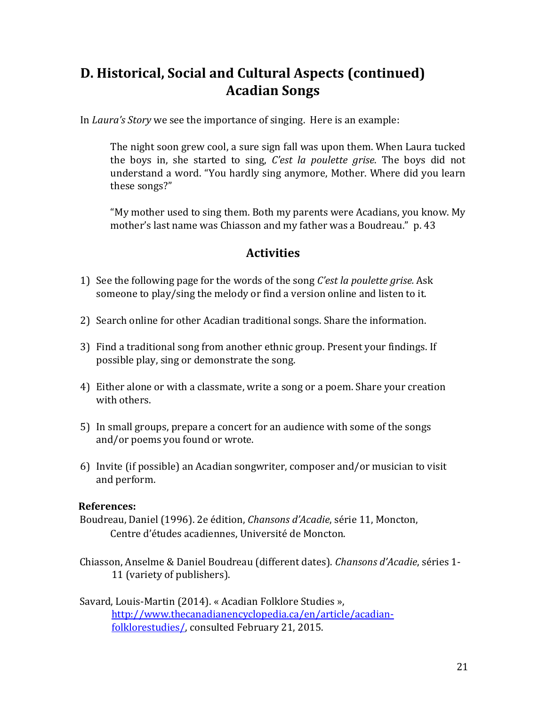## **D. Historical, Social and Cultural Aspects (continued) Acadian Songs**

In *Laura's Story* we see the importance of singing. Here is an example:

The night soon grew cool, a sure sign fall was upon them. When Laura tucked the boys in, she started to sing, *C'est la poulette grise*. The boys did not understand a word. "You hardly sing anymore, Mother. Where did you learn these songs?"

"My mother used to sing them. Both my parents were Acadians, you know. My mother's last name was Chiasson and my father was a Boudreau." p. 43

#### **Activities**

- 1) See the following page for the words of the song *C'est la poulette grise.* Ask someone to play/sing the melody or find a version online and listen to it.
- 2) Search online for other Acadian traditional songs. Share the information.
- 3) Find a traditional song from another ethnic group. Present your findings. If possible play, sing or demonstrate the song.
- 4) Either alone or with a classmate, write a song or a poem. Share your creation with others.
- 5) In small groups, prepare a concert for an audience with some of the songs and/or poems you found or wrote.
- 6) Invite (if possible) an Acadian songwriter, composer and/or musician to visit and perform.

#### **References:**

- Boudreau, Daniel (1996). 2e édition, *Chansons d'Acadie*, série 11, Moncton, Centre d'études acadiennes, Université de Moncton.
- Chiasson, Anselme & Daniel Boudreau (different dates). *Chansons d'Acadie*, séries 1- 11 (variety of publishers).
- Savard, Louis-Martin (2014). « Acadian Folklore Studies », [http://www.thecanadianencyclopedia.ca/en/article/acadian](http://www.thecanadianencyclopedia.ca/en/article/acadian-folklore-studies/)[folklorestudies/,](http://www.thecanadianencyclopedia.ca/en/article/acadian-folklore-studies/) consulted February 21, 2015.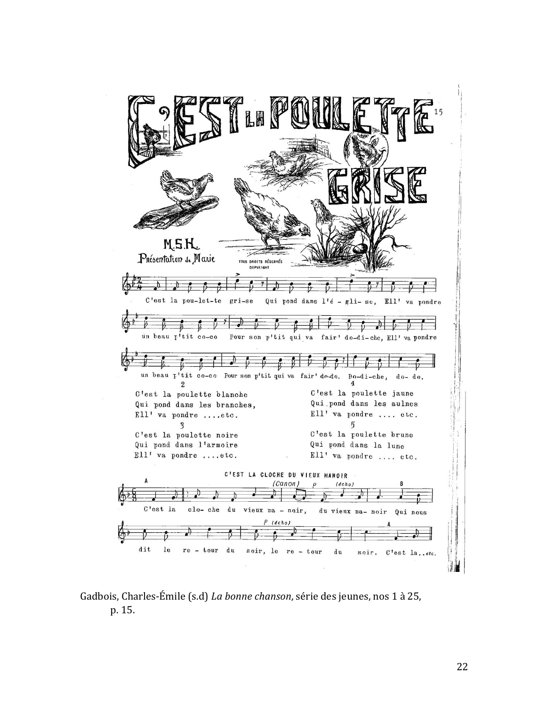

#### Gadbois, Charles-Émile (s.d) *La bonne chanson*, série des jeunes, nos 1 à 25, p. 15.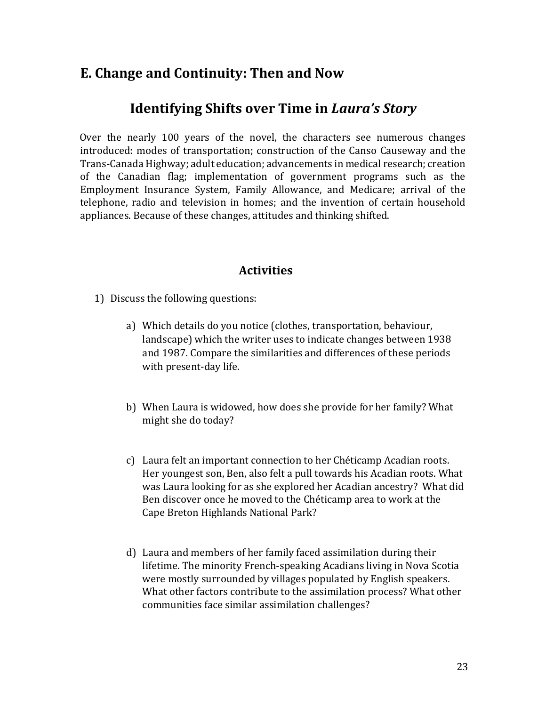### **E. Change and Continuity: Then and Now**

### **Identifying Shifts over Time in** *Laura's Story*

Over the nearly 100 years of the novel, the characters see numerous changes introduced: modes of transportation; construction of the Canso Causeway and the Trans-Canada Highway; adult education; advancements in medical research; creation of the Canadian flag; implementation of government programs such as the Employment Insurance System, Family Allowance, and Medicare; arrival of the telephone, radio and television in homes; and the invention of certain household appliances. Because of these changes, attitudes and thinking shifted.

- 1) Discuss the following questions:
	- a) Which details do you notice (clothes, transportation, behaviour, landscape) which the writer uses to indicate changes between 1938 and 1987. Compare the similarities and differences of these periods with present-day life.
	- b) When Laura is widowed, how does she provide for her family? What might she do today?
	- c) Laura felt an important connection to her Chéticamp Acadian roots. Her youngest son, Ben, also felt a pull towards his Acadian roots. What was Laura looking for as she explored her Acadian ancestry? What did Ben discover once he moved to the Chéticamp area to work at the Cape Breton Highlands National Park?
	- d) Laura and members of her family faced assimilation during their lifetime. The minority French-speaking Acadians living in Nova Scotia were mostly surrounded by villages populated by English speakers. What other factors contribute to the assimilation process? What other communities face similar assimilation challenges?